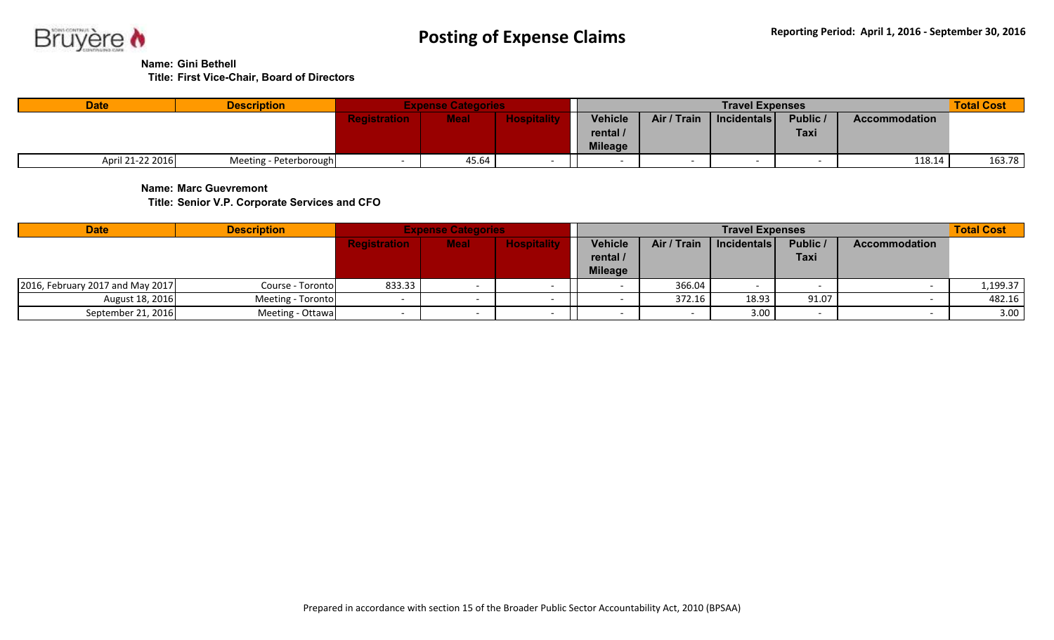

**Name: Gini Bethell**

**Title: First Vice-Chair, Board of Directors**

| <b>Date</b>      | <b>Description</b>     |              | <b>Expense Categories</b> |                |             | <b>Travel Expenses</b> |             |                      | <b>Total Cost</b> |
|------------------|------------------------|--------------|---------------------------|----------------|-------------|------------------------|-------------|----------------------|-------------------|
|                  |                        | aalatuntian. | <b>Meal</b>               | <b>Vehicle</b> | Air / Train | Incidentals            | Public /    | <b>Accommodation</b> |                   |
|                  |                        |              |                           | rental /       |             |                        | <b>Taxi</b> |                      |                   |
|                  |                        |              |                           | <b>Mileage</b> |             |                        |             |                      |                   |
| April 21-22 2016 | Meeting - Peterborough |              | 45.64                     |                |             |                        |             | 118.14               | 163.78            |

**Name: Marc Guevremont**

**Title: Senior V.P. Corporate Services and CFO**

| <b>Date</b>                        | <b>Description</b> |                     | <b>Expense Categories</b> |                    |                                              |             | <b>Travel Expenses</b> |                  |                      | <b>Total Cost</b> |
|------------------------------------|--------------------|---------------------|---------------------------|--------------------|----------------------------------------------|-------------|------------------------|------------------|----------------------|-------------------|
|                                    |                    | <b>Registration</b> | Meal                      | <b>Hospitality</b> | <b>Vehicle</b><br>rental /<br><b>Mileage</b> | Air / Train | Incidentals            | Public /<br>Taxi | <b>Accommodation</b> |                   |
| [2016, February 2017 and May 2017] | Course - Toronto   | 833.33              |                           |                    |                                              | 366.04      |                        |                  |                      | 1,199.37          |
| August 18, 2016                    | Meeting - Toronto  |                     |                           |                    |                                              | 372.16      | 18.93                  | 91.07            |                      | 482.16            |
| September 21, 2016                 | Meeting - Ottawa   |                     |                           |                    |                                              |             | 3.00                   |                  |                      | 3.00              |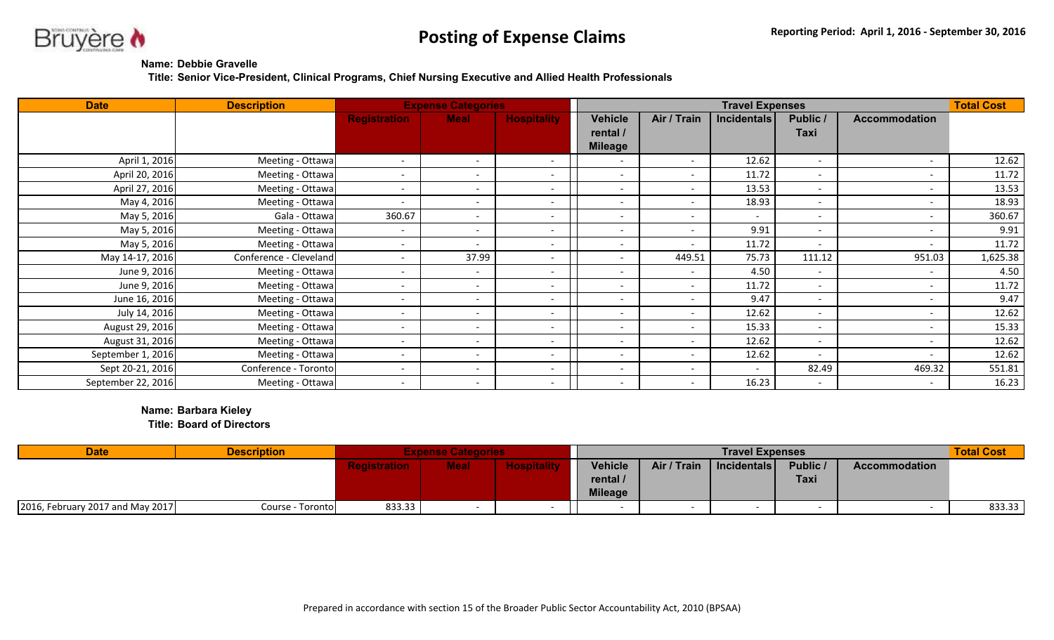

## **Name: Debbie Gravelle**

**Title: Senior Vice-President, Clinical Programs, Chief Nursing Executive and Allied Health Professionals**

| <b>Date</b>        | <b>Description</b>     |                          | <b>Expense Categories</b> |                          |                          |                          | <b>Travel Expenses</b> |                          |                          | <b>Total Cost</b> |
|--------------------|------------------------|--------------------------|---------------------------|--------------------------|--------------------------|--------------------------|------------------------|--------------------------|--------------------------|-------------------|
|                    |                        | <b>Registration</b>      | <b>Meal</b>               | <b>Hospitality</b>       | Vehicle                  | Air / Train              | <b>Incidentals</b>     | Public /                 | <b>Accommodation</b>     |                   |
|                    |                        |                          |                           |                          | rental /                 |                          |                        | <b>Taxi</b>              |                          |                   |
|                    |                        |                          |                           |                          | <b>Mileage</b>           |                          |                        |                          |                          |                   |
| April 1, 2016      | Meeting - Ottawa       | $\overline{\phantom{a}}$ | $\sim$                    |                          |                          | $\sim$                   | 12.62                  | $\overline{\phantom{a}}$ | $\overline{\phantom{a}}$ | 12.62             |
| April 20, 2016     | Meeting - Ottawa       | $\overline{\phantom{a}}$ | $\overline{\phantom{a}}$  |                          | $\overline{\phantom{0}}$ | $\overline{\phantom{a}}$ | 11.72                  | $\overline{\phantom{a}}$ | $\overline{\phantom{a}}$ | 11.72             |
| April 27, 2016     | Meeting - Ottawa       | $\overline{\phantom{a}}$ | $\overline{\phantom{0}}$  |                          |                          | $\sim$                   | 13.53                  | $\overline{\phantom{a}}$ | $\overline{\phantom{a}}$ | 13.53             |
| May 4, 2016        | Meeting - Ottawa       | $\overline{\phantom{a}}$ | $\sim$                    | $\overline{\phantom{0}}$ | $\overline{\phantom{a}}$ | $\overline{\phantom{a}}$ | 18.93                  | $\overline{\phantom{a}}$ | $\overline{\phantom{a}}$ | 18.93             |
| May 5, 2016        | Gala - Ottawa          | 360.67                   | $\overline{\phantom{a}}$  | $\overline{\phantom{0}}$ | $\overline{\phantom{a}}$ | $\overline{\phantom{a}}$ | $\sim$                 | $\overline{\phantom{a}}$ | $\overline{\phantom{a}}$ | 360.67            |
| May 5, 2016        | Meeting - Ottawa       | $\overline{\phantom{a}}$ | $\overline{\phantom{a}}$  |                          | $\overline{\phantom{0}}$ | $\sim$                   | 9.91                   | $\overline{\phantom{a}}$ | $\overline{\phantom{0}}$ | 9.91              |
| May 5, 2016        | Meeting - Ottawa       | $\overline{\phantom{a}}$ | $\overline{\phantom{a}}$  |                          |                          | $\overline{\phantom{0}}$ | 11.72                  | $\overline{\phantom{a}}$ | $\overline{\phantom{0}}$ | 11.72             |
| May 14-17, 2016    | Conference - Cleveland | $\overline{\phantom{0}}$ | 37.99                     |                          | $\overline{\phantom{0}}$ | 449.51                   | 75.73                  | 111.12                   | 951.03                   | 1,625.38          |
| June 9, 2016       | Meeting - Ottawa       | $\overline{\phantom{a}}$ | $\overline{\phantom{a}}$  |                          |                          | $\overline{\phantom{a}}$ | 4.50                   | $\overline{\phantom{a}}$ | $\overline{\phantom{a}}$ | 4.50              |
| June 9, 2016       | Meeting - Ottawa       | $\overline{\phantom{a}}$ | $\overline{\phantom{a}}$  | $\overline{\phantom{a}}$ | $\overline{\phantom{0}}$ | $\overline{\phantom{a}}$ | 11.72                  | $\overline{\phantom{a}}$ | $\overline{\phantom{a}}$ | 11.72             |
| June 16, 2016      | Meeting - Ottawa       | $\overline{\phantom{a}}$ | $\overline{\phantom{a}}$  |                          |                          | $\overline{\phantom{a}}$ | 9.47                   | $\overline{\phantom{a}}$ | $\overline{\phantom{a}}$ | 9.47              |
| July 14, 2016      | Meeting - Ottawa       | $\overline{\phantom{a}}$ | $\sim$                    | $\overline{\phantom{0}}$ | $\overline{\phantom{0}}$ | $\sim$                   | 12.62                  | $\overline{\phantom{a}}$ | $\sim$                   | 12.62             |
| August 29, 2016    | Meeting - Ottawa       | $\overline{\phantom{a}}$ | $\overline{\phantom{a}}$  |                          |                          | $\overline{\phantom{a}}$ | 15.33                  | $\overline{\phantom{a}}$ | $\overline{\phantom{a}}$ | 15.33             |
| August 31, 2016    | Meeting - Ottawa       | $\overline{\phantom{a}}$ | $\sim$                    | $\overline{\phantom{a}}$ | $\overline{\phantom{0}}$ | $\overline{\phantom{a}}$ | 12.62                  | $\overline{\phantom{a}}$ | $\overline{\phantom{a}}$ | 12.62             |
| September 1, 2016  | Meeting - Ottawa       | $\overline{\phantom{a}}$ | $\sim$                    | $\overline{\phantom{a}}$ | $\overline{\phantom{a}}$ | $\sim$                   | 12.62                  | $\overline{\phantom{a}}$ | $\overline{\phantom{a}}$ | 12.62             |
| Sept 20-21, 2016   | Conference - Toronto   | $\sim$                   | $\overline{\phantom{a}}$  |                          | $\overline{\phantom{a}}$ | $\overline{\phantom{a}}$ |                        | 82.49                    | 469.32                   | 551.81            |
| September 22, 2016 | Meeting - Ottawa       | $\overline{\phantom{0}}$ | $\sim$                    | $\overline{\phantom{0}}$ | $\overline{\phantom{0}}$ | $\sim$                   | 16.23                  | $\overline{\phantom{a}}$ | $\overline{\phantom{a}}$ | 16.23             |

## **Name: Barbara Kieley**

**Title: Board of Directors**

| <b>Date</b>                      | <b>Description</b> |             |             |                    |                                              |             | <b>Travel Expenses</b> |                  |                      | <b>Total Cost</b> |
|----------------------------------|--------------------|-------------|-------------|--------------------|----------------------------------------------|-------------|------------------------|------------------|----------------------|-------------------|
|                                  |                    | aiotrotion. | <b>Meal</b> | <b>Hospitality</b> | <b>Vehicle</b><br>rental /<br><b>Mileage</b> | Air / Train | $ $ Incidentals $ $    | Public /<br>Taxi | <b>Accommodation</b> |                   |
| 2016, February 2017 and May 2017 | Course - Toronto   | 833.33      |             |                    |                                              |             |                        |                  |                      | 833.33            |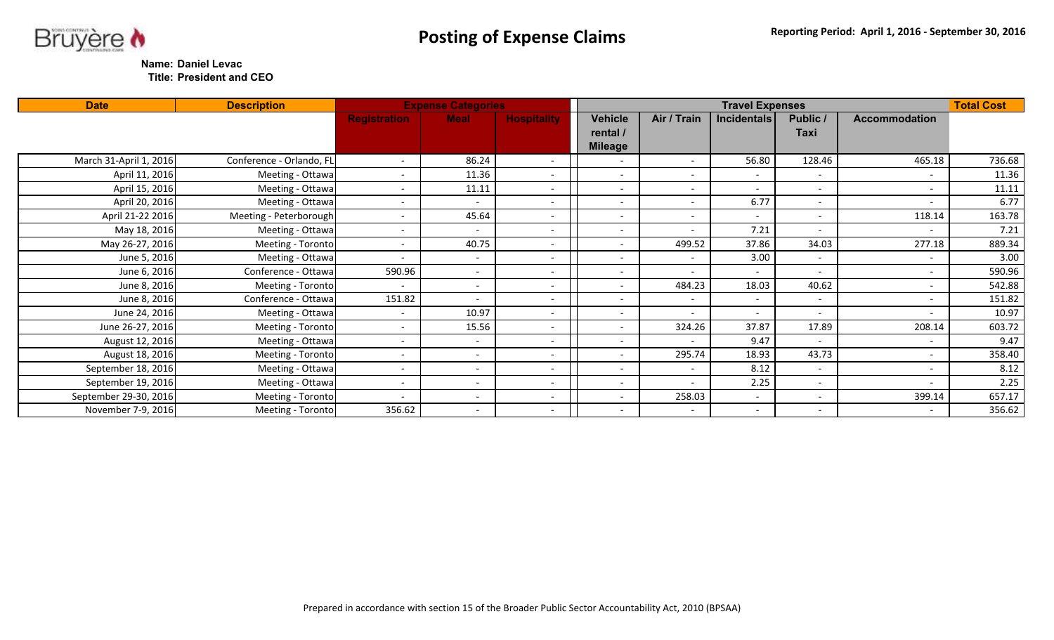



**Title: President and CEO**

| <b>Date</b>            | <b>Description</b>       |                          | <b>Expense Categories</b> |                          |                                              |                          | <b>Travel Expenses</b>   |                          |                          | <b>Total Cost</b> |
|------------------------|--------------------------|--------------------------|---------------------------|--------------------------|----------------------------------------------|--------------------------|--------------------------|--------------------------|--------------------------|-------------------|
|                        |                          | <b>Registration</b>      | <b>Meal</b>               | <b>Hospitality</b>       | <b>Vehicle</b><br>rental /<br><b>Mileage</b> | Air / Train              | Incidentals              | Public /<br>Taxi         | <b>Accommodation</b>     |                   |
| March 31-April 1, 2016 | Conference - Orlando, FL |                          | 86.24                     | $\overline{\phantom{a}}$ | $\overline{\phantom{0}}$                     | $\sim$                   | 56.80                    | 128.46                   | 465.18                   | 736.68            |
| April 11, 2016         | Meeting - Ottawa         |                          | 11.36                     |                          |                                              | $\sim$                   | $\sim$                   |                          | $\sim$                   | 11.36             |
| April 15, 2016         | Meeting - Ottawa         |                          | 11.11                     | $\overline{\phantom{a}}$ | $\overline{\phantom{0}}$                     | $\sim$                   | $\overline{\phantom{a}}$ | $\overline{\phantom{0}}$ | $\overline{\phantom{0}}$ | 11.11             |
| April 20, 2016         | Meeting - Ottawa         |                          | $\sim$                    | $\overline{\phantom{0}}$ |                                              | $\sim$                   | 6.77                     | $\overline{\phantom{0}}$ | $\overline{\phantom{a}}$ | 6.77              |
| April 21-22 2016       | Meeting - Peterborough   |                          | 45.64                     |                          |                                              | $\sim$                   |                          |                          | 118.14                   | 163.78            |
| May 18, 2016           | Meeting - Ottawa         |                          | $\sim$                    | -                        |                                              | $\overline{\phantom{a}}$ | 7.21                     |                          |                          | 7.21              |
| May 26-27, 2016        | Meeting - Toronto        |                          | 40.75                     | $\sim$                   |                                              | 499.52                   | 37.86                    | 34.03                    | 277.18                   | 889.34            |
| June 5, 2016           | Meeting - Ottawa         |                          | $\sim$                    | $\overline{\phantom{a}}$ |                                              | $\sim$                   | 3.00                     | $\sim$                   | $\sim$                   | 3.00              |
| June 6, 2016           | Conference - Ottawa      | 590.96                   | $\sim$                    | $\overline{\phantom{0}}$ | $\overline{\phantom{0}}$                     | $\sim$                   | $\overline{\phantom{a}}$ |                          | $\sim$                   | 590.96            |
| June 8, 2016           | Meeting - Toronto        |                          | $\sim$                    |                          |                                              | 484.23                   | 18.03                    | 40.62                    | $\overline{\phantom{a}}$ | 542.88            |
| June 8, 2016           | Conference - Ottawa      | 151.82                   | $\sim$                    | $\sim$                   |                                              | $\sim$                   | $\overline{\phantom{0}}$ |                          | $\sim$                   | 151.82            |
| June 24, 2016          | Meeting - Ottawa         |                          | 10.97                     | $\overline{\phantom{a}}$ | $\sim$                                       | $\overline{\phantom{a}}$ | $\overline{\phantom{a}}$ | $\overline{\phantom{0}}$ | $\sim$                   | 10.97             |
| June 26-27, 2016       | Meeting - Toronto        |                          | 15.56                     |                          |                                              | 324.26                   | 37.87                    | 17.89                    | 208.14                   | 603.72            |
| August 12, 2016        | Meeting - Ottawa         |                          | $\sim$                    |                          |                                              | $\sim$                   | 9.47                     |                          | $\overline{\phantom{a}}$ | 9.47              |
| August 18, 2016        | Meeting - Toronto        |                          | $\sim$                    | $\overline{\phantom{a}}$ |                                              | 295.74                   | 18.93                    | 43.73                    | $\sim$                   | 358.40            |
| September 18, 2016     | Meeting - Ottawa         |                          | $\sim$                    |                          |                                              | $\sim$                   | 8.12                     | $\sim$                   | $\overline{\phantom{a}}$ | 8.12              |
| September 19, 2016     | Meeting - Ottawa         | $\overline{\phantom{0}}$ | $\sim$                    | $\overline{\phantom{0}}$ | $\overline{\phantom{0}}$                     | $\sim$                   | 2.25                     | $\sim$                   | $\sim$                   | 2.25              |
| September 29-30, 2016  | Meeting - Toronto        |                          | $\sim$                    | $\overline{\phantom{a}}$ |                                              | 258.03                   | $\overline{\phantom{a}}$ | $\sim$                   | 399.14                   | 657.17            |
| November 7-9, 2016     | Meeting - Toronto        | 356.62                   | $\sim$                    | $\overline{\phantom{0}}$ |                                              | $\sim$                   | $\overline{\phantom{0}}$ | $\overline{\phantom{0}}$ | $\overline{\phantom{0}}$ | 356.62            |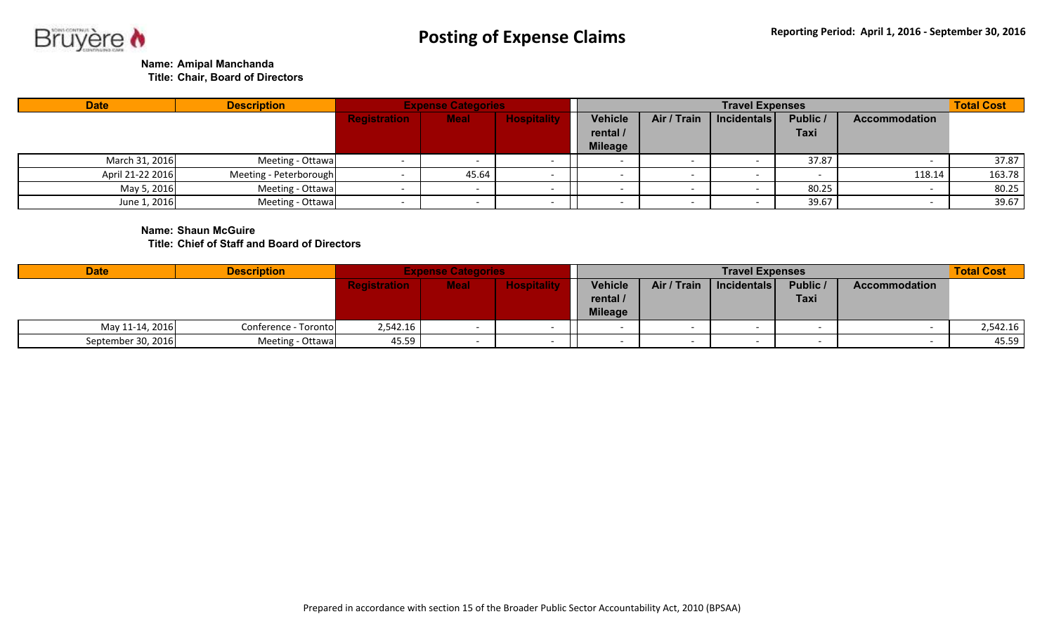

**Name: Amipal Manchanda**

**Title: Chair, Board of Directors**

| <b>Date</b>      | <b>Description</b>     |                     | <b>Expense Categories</b> |                    |                            |             | <b>Travel Expenses</b> |                         |                      | <b>Total Cost</b> |
|------------------|------------------------|---------------------|---------------------------|--------------------|----------------------------|-------------|------------------------|-------------------------|----------------------|-------------------|
|                  |                        | <b>Registration</b> | <b>Meal</b>               | <b>Hospitality</b> | <b>Vehicle</b><br>rental / | Air / Train | Incidentals            | Public /<br><b>Taxi</b> | <b>Accommodation</b> |                   |
|                  |                        |                     |                           |                    | <b>Mileage</b>             |             |                        |                         |                      |                   |
| March 31, 2016   | Meeting - Ottawa       |                     |                           |                    |                            | $\sim$      |                        | 37.87                   |                      | 37.87             |
| April 21-22 2016 | Meeting - Peterborough |                     | 45.64                     |                    |                            |             |                        |                         | 118.14               | 163.78            |
| May 5, 2016      | Meeting - Ottawa       |                     |                           |                    |                            | $\sim$      |                        | 80.25                   |                      | 80.25             |
| June 1, 2016     | Meeting - Ottawa       |                     |                           |                    |                            | $\sim$      |                        | 39.67                   |                      | 39.67             |

**Name: Shaun McGuire Title: Chief of Staff and Board of Directors**

| <b>Date</b>        | <b>Description</b>   |                     | <b>Expense Categories</b> |                    |                                              |             | <b>Travel Expenses</b> |                  |                      | <b>Total Cost</b> |
|--------------------|----------------------|---------------------|---------------------------|--------------------|----------------------------------------------|-------------|------------------------|------------------|----------------------|-------------------|
|                    |                      | <b>Registration</b> | <b>Meal</b>               | <b>Hospitality</b> | <b>Vehicle</b><br>rental /<br><b>Mileage</b> | Air / Train | Incidentals            | Public /<br>Taxi | <b>Accommodation</b> |                   |
| May 11-14, 2016    | Conference - Toronto | 2,542.16            |                           |                    |                                              |             |                        |                  |                      | 2,542.16          |
| September 30, 2016 | Meeting - Ottawa     | 45.59               |                           |                    |                                              |             |                        |                  |                      | 45.59             |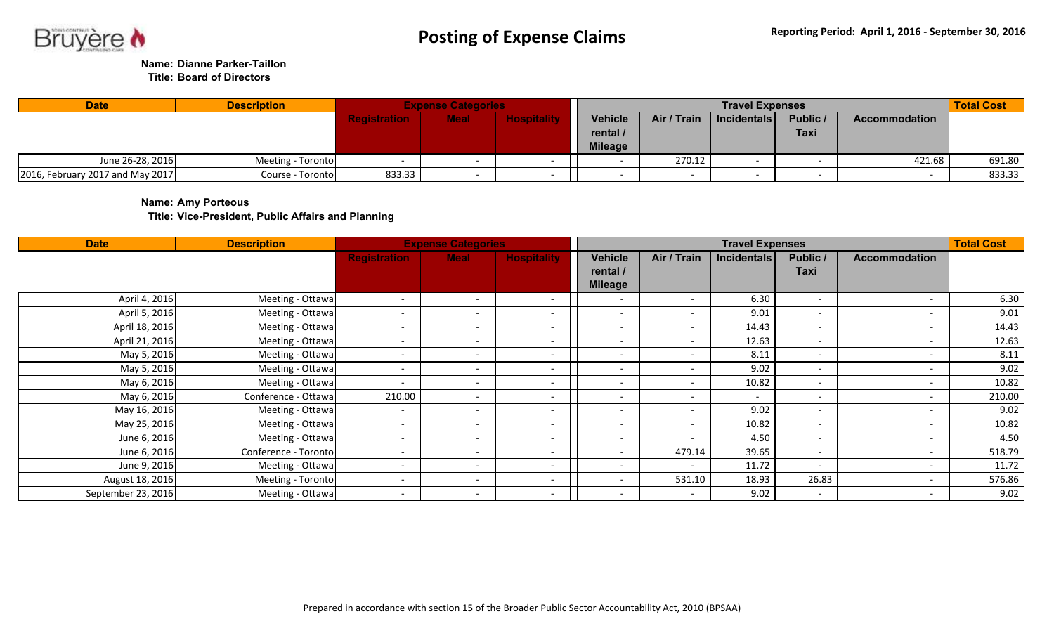

**Name: Dianne Parker-Taillon**

**Title: Board of Directors**

| <b>Date</b>                        | <b>Description</b> |                     | <b>Expense Categories</b> |                    |                |             | <b>Travel Expenses</b> |             |                      | <b>Total Cost</b> |
|------------------------------------|--------------------|---------------------|---------------------------|--------------------|----------------|-------------|------------------------|-------------|----------------------|-------------------|
|                                    |                    | <b>Registration</b> | <b>Meal</b>               | <b>Hospitality</b> | Vehicle        | Air / Train | Incidentals            | Public /    | <b>Accommodation</b> |                   |
|                                    |                    |                     |                           |                    | rental /       |             |                        | <b>Taxi</b> |                      |                   |
|                                    |                    |                     |                           |                    | <b>Mileage</b> |             |                        |             |                      |                   |
| June 26-28, 2016                   | Meeting - Toronto  |                     |                           |                    |                | 270.12      |                        |             | 421.68               | 691.80            |
| [2016, February 2017 and May 2017] | Course - Toronto   | 833.33              |                           |                    |                |             |                        |             |                      | 833.33            |

**Name: Amy Porteous**

**Title: Vice-President, Public Affairs and Planning** 

| <b>Date</b>        | <b>Description</b>   |                          | <b>Expense Categories</b> |                          |                          |                          | <b>Travel Expenses</b> |                          |                          | <b>Total Cost</b> |
|--------------------|----------------------|--------------------------|---------------------------|--------------------------|--------------------------|--------------------------|------------------------|--------------------------|--------------------------|-------------------|
|                    |                      | <b>Registration</b>      | <b>Meal</b>               | <b>Hospitality</b>       | Vehicle                  | Air / Train              | <b>Incidentals</b>     | Public /                 | <b>Accommodation</b>     |                   |
|                    |                      |                          |                           |                          | rental /                 |                          |                        | Taxi                     |                          |                   |
|                    |                      |                          |                           |                          | <b>Mileage</b>           |                          |                        |                          |                          |                   |
| April 4, 2016      | Meeting - Ottawa     | $\overline{\phantom{a}}$ | $\overline{\phantom{0}}$  | $\overline{\phantom{0}}$ | $\overline{\phantom{0}}$ | $\overline{\phantom{0}}$ | 6.30                   | $\overline{\phantom{0}}$ | $\overline{\phantom{0}}$ | 6.30              |
| April 5, 2016      | Meeting - Ottawa     | $\overline{\phantom{a}}$ | $\sim$                    |                          | $\overline{\phantom{0}}$ | $\sim$                   | 9.01                   | $\overline{\phantom{a}}$ | $\overline{\phantom{a}}$ | 9.01              |
| April 18, 2016     | Meeting - Ottawa     |                          | $\overline{\phantom{a}}$  |                          |                          | $\sim$                   | 14.43                  | $\overline{\phantom{a}}$ |                          | 14.43             |
| April 21, 2016     | Meeting - Ottawa     |                          | $\overline{\phantom{a}}$  |                          |                          | $\overline{\phantom{a}}$ | 12.63                  | $\overline{\phantom{0}}$ | -                        | 12.63             |
| May 5, 2016        | Meeting - Ottawa     | $\overline{\phantom{0}}$ | $\overline{\phantom{a}}$  |                          |                          | $\overline{\phantom{a}}$ | 8.11                   | $\overline{\phantom{0}}$ | $\overline{\phantom{0}}$ | 8.11              |
| May 5, 2016        | Meeting - Ottawa     | $\overline{\phantom{a}}$ | $\overline{\phantom{0}}$  |                          | $\overline{\phantom{0}}$ | $\overline{\phantom{0}}$ | 9.02                   | $\overline{\phantom{a}}$ | $\overline{\phantom{0}}$ | 9.02              |
| May 6, 2016        | Meeting - Ottawa     | $\overline{\phantom{0}}$ | $\overline{\phantom{a}}$  |                          |                          | $\overline{\phantom{a}}$ | 10.82                  | $\overline{\phantom{0}}$ | $\overline{\phantom{0}}$ | 10.82             |
| May 6, 2016        | Conference - Ottawa  | 210.00                   | $\sim$                    |                          |                          | $\overline{\phantom{0}}$ |                        |                          | $\overline{\phantom{0}}$ | 210.00            |
| May 16, 2016       | Meeting - Ottawa     | $\overline{\phantom{a}}$ | $\overline{\phantom{a}}$  |                          | ۰.                       | $\sim$                   | 9.02                   | $\overline{\phantom{0}}$ | $\overline{\phantom{0}}$ | 9.02              |
| May 25, 2016       | Meeting - Ottawa     | $\overline{\phantom{0}}$ | $\overline{\phantom{a}}$  |                          | $\overline{\phantom{0}}$ | $\sim$                   | 10.82                  |                          | $\overline{\phantom{0}}$ | 10.82             |
| June 6, 2016       | Meeting - Ottawa     | $\overline{\phantom{0}}$ | $\overline{\phantom{a}}$  |                          |                          | $\overline{\phantom{a}}$ | 4.50                   |                          | $\overline{\phantom{0}}$ | 4.50              |
| June 6, 2016       | Conference - Toronto | $\overline{\phantom{a}}$ | $\overline{\phantom{0}}$  | $\overline{\phantom{0}}$ | $\overline{\phantom{0}}$ | 479.14                   | 39.65                  | $\overline{\phantom{a}}$ | $\overline{\phantom{a}}$ | 518.79            |
| June 9, 2016       | Meeting - Ottawa     | $\overline{\phantom{a}}$ | $\overline{\phantom{0}}$  | $\overline{\phantom{0}}$ | $\overline{\phantom{0}}$ | $\overline{\phantom{a}}$ | 11.72                  | $\overline{\phantom{a}}$ | $\overline{\phantom{a}}$ | 11.72             |
| August 18, 2016    | Meeting - Toronto    | $\overline{\phantom{a}}$ | $\overline{\phantom{0}}$  | $\overline{\phantom{a}}$ |                          | 531.10                   | 18.93                  | 26.83                    | $\overline{\phantom{0}}$ | 576.86            |
| September 23, 2016 | Meeting - Ottawa     | $\overline{\phantom{a}}$ | $\overline{\phantom{0}}$  | $\overline{\phantom{0}}$ |                          | $\sim$                   | 9.02                   | $\overline{\phantom{0}}$ | $\overline{\phantom{0}}$ | 9.02              |